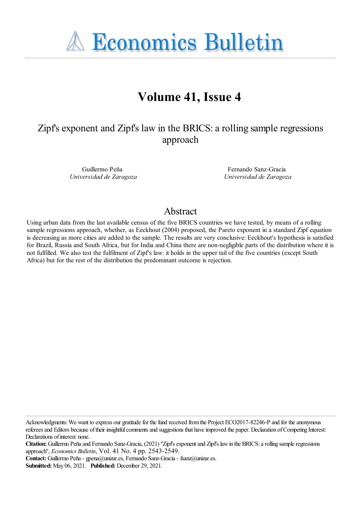**A Economics Bulletin** 

# **Volume 41, Issue 4**

## Zipf's exponent and Zipf's law in the BRICS: a rolling sample regressions approach

Guillermo Peña *Universidad de Zaragoza*

Fernando Sanz-Gracia *Universidad de Zaragoza*

## Abstract

Using urban data from the last available census of the five BRICS countries we have tested, by means of a rolling sample regressions approach, whether, as Eeckhout (2004) proposed, the Pareto exponent in a standard Zipf equation is decreasing as more cities are added to the sample. The results are very conclusive: Eeckhout's hypothesis is satisfied for Brazil, Russia and South Africa, but for India and China there are non-negligible parts of the distribution where it is not fulfilled. We also test the fulfilment of Zipf's law: it holds in the upper tail of the five countries (except South Africa) but for the rest of the distribution the predominant outcome is rejection.

Acknowledgments: We want to express our gratitude for the fund received from the Project ECO2017-82246-P and for the anonymous referees and Editors because of their insightful comments and suggestions that have improved the paper. Declaration of Competing Interest: Declarations of interest: none.

Citation: Guillermo Peña and Fernando Sanz-Gracia, (2021) "Zipf's exponent and Zipf's law in the BRICS: a rolling sample regressions approach'', *Economics Bulletin*, Vol. 41 No. 4 pp. 2543-2549.

**Contact:** Guillermo Peña- gpena@unizar.es, Fernando Sanz-Gracia- fsanz@unizar.es.

**Submitted:** May 06, 2021. **Published:** December 29, 2021.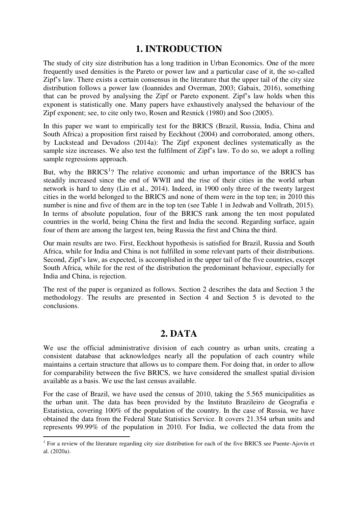## **1. INTRODUCTION**

The study of city size distribution has a long tradition in Urban Economics. One of the more frequently used densities is the Pareto or power law and a particular case of it, the so-called Zipf's law. There exists a certain consensus in the literature that the upper tail of the city size distribution follows a power law (Ioannides and Overman, 2003; Gabaix, 2016), something that can be proved by analysing the Zipf or Pareto exponent. Zipf's law holds when this exponent is statistically one. Many papers have exhaustively analysed the behaviour of the Zipf exponent; see, to cite only two, Rosen and Resnick (1980) and Soo (2005).

In this paper we want to empirically test for the BRICS (Brazil, Russia, India, China and South Africa) a proposition first raised by Eeckhout (2004) and corroborated, among others, by Luckstead and Devadoss (2014a): The Zipf exponent declines systematically as the sample size increases. We also test the fulfilment of Zipf's law. To do so, we adopt a rolling sample regressions approach.

But, why the BRICS<sup>1</sup>? The relative economic and urban importance of the BRICS has steadily increased since the end of WWII and the rise of their cities in the world urban network is hard to deny (Liu et al., 2014). Indeed, in 1900 only three of the twenty largest cities in the world belonged to the BRICS and none of them were in the top ten; in 2010 this number is nine and five of them are in the top ten (see Table 1 in Jedwab and Vollrath, 2015). In terms of absolute population, four of the BRICS rank among the ten most populated countries in the world, being China the first and India the second. Regarding surface, again four of them are among the largest ten, being Russia the first and China the third.

Our main results are two. First, Eeckhout hypothesis is satisfied for Brazil, Russia and South Africa, while for India and China is not fulfilled in some relevant parts of their distributions. Second, Zipf's law, as expected, is accomplished in the upper tail of the five countries, except South Africa, while for the rest of the distribution the predominant behaviour, especially for India and China, is rejection.

The rest of the paper is organized as follows. Section 2 describes the data and Section 3 the methodology. The results are presented in Section 4 and Section 5 is devoted to the conclusions.

## **2. DATA**

We use the official administrative division of each country as urban units, creating a consistent database that acknowledges nearly all the population of each country while maintains a certain structure that allows us to compare them. For doing that, in order to allow for comparability between the five BRICS, we have considered the smallest spatial division available as a basis. We use the last census available.

For the case of Brazil, we have used the census of 2010, taking the 5.565 municipalities as the urban unit. The data has been provided by the Instituto Brazileiro de Geografia e Estatistica, covering 100% of the population of the country. In the case of Russia, we have obtained the data from the Federal State Statistics Service. It covers 21.354 urban units and represents 99.99% of the population in 2010. For India, we collected the data from the

<sup>&</sup>lt;sup>1</sup> For a review of the literature regarding city size distribution for each of the five BRICS see Puente-Ajovín et al. (2020a).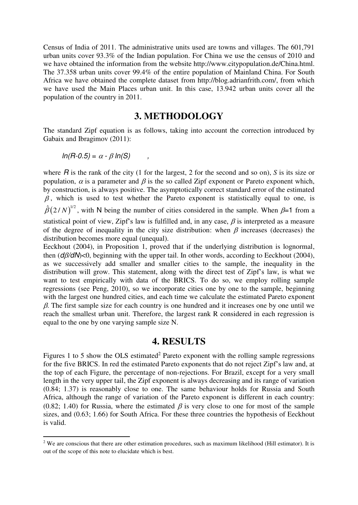Census of India of 2011. The administrative units used are towns and villages. The 601,791 urban units cover 93.3% of the Indian population. For China we use the census of 2010 and we have obtained the information from the website http://www.citypopulation.de/China.html. The 37.358 urban units cover 99.4% of the entire population of Mainland China. For South Africa we have obtained the complete dataset from http://blog.adrianfrith.com/, from which we have used the Main Places urban unit. In this case, 13.942 urban units cover all the population of the country in 2011.

#### **3. METHODOLOGY**

The standard Zipf equation is as follows, taking into account the correction introduced by Gabaix and Ibragimov (2011):

$$
ln(R-0.5) = \alpha - \beta ln(S)
$$

 $\overline{a}$ 

where *R* is the rank of the city (1 for the largest, 2 for the second and so on), *S* is its size or population,  $\alpha$  is a parameter and  $\beta$  is the so called Zipf exponent or Pareto exponent which, by construction, is always positive. The asymptotically correct standard error of the estimated  $\beta$ , which is used to test whether the Pareto exponent is statistically equal to one, is  $\hat{\beta}(2/N)^{1/2}$ , with N being the number of cities considered in the sample. When  $\beta=1$  from a statistical point of view, Zipf's law is fulfilled and, in any case,  $\beta$  is interpreted as a measure of the degree of inequality in the city size distribution: when  $\beta$  increases (decreases) the distribution becomes more equal (unequal).

Eeckhout (2004), in Proposition 1, proved that if the underlying distribution is lognormal, then  $(d\beta/dN)$ <0, beginning with the upper tail. In other words, according to Eeckhout (2004), as we successively add smaller and smaller cities to the sample, the inequality in the distribution will grow. This statement, along with the direct test of Zipf's law, is what we want to test empirically with data of the BRICS. To do so, we employ rolling sample regressions (see Peng, 2010), so we incorporate cities one by one to the sample, beginning with the largest one hundred cities, and each time we calculate the estimated Pareto exponent  $\beta$ . The first sample size for each country is one hundred and it increases one by one until we reach the smallest urban unit. Therefore, the largest rank R considered in each regression is equal to the one by one varying sample size N.

### **4. RESULTS**

Figures 1 to 5 show the OLS estimated<sup>2</sup> Pareto exponent with the rolling sample regressions for the five BRICS. In red the estimated Pareto exponents that do not reject Zipf's law and, at the top of each Figure, the percentage of non-rejections. For Brazil, except for a very small length in the very upper tail, the Zipf exponent is always decreasing and its range of variation (0.84; 1.37) is reasonably close to one. The same behaviour holds for Russia and South Africa, although the range of variation of the Pareto exponent is different in each country: (0.82; 1.40) for Russia, where the estimated  $\beta$  is very close to one for most of the sample sizes, and (0.63; 1.66) for South Africa. For these three countries the hypothesis of Eeckhout is valid.

 $2$  We are conscious that there are other estimation procedures, such as maximum likelihood (Hill estimator). It is out of the scope of this note to elucidate which is best.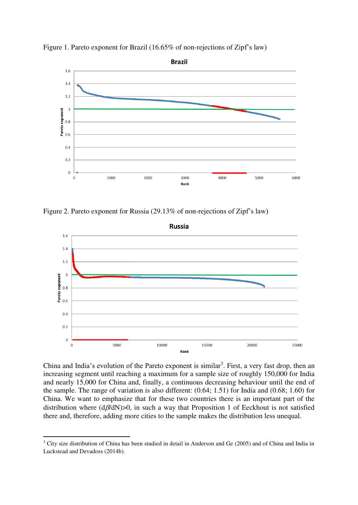



Figure 2. Pareto exponent for Russia (29.13% of non-rejections of Zipf's law)



China and India's evolution of the Pareto exponent is similar<sup>3</sup>. First, a very fast drop, then an increasing segment until reaching a maximum for a sample size of roughly 150,000 for India and nearly 15,000 for China and, finally, a continuous decreasing behaviour until the end of the sample. The range of variation is also different: (0.64; 1.51) for India and (0.68; 1.60) for China. We want to emphasize that for these two countries there is an important part of the distribution where  $(d\beta/dN)$ >0, in such a way that Proposition 1 of Eeckhout is not satisfied there and, therefore, adding more cities to the sample makes the distribution less unequal.

<sup>&</sup>lt;sup>3</sup> City size distribution of China has been studied in detail in Anderson and Ge (2005) and of China and India in Luckstead and Devadoss (2014b).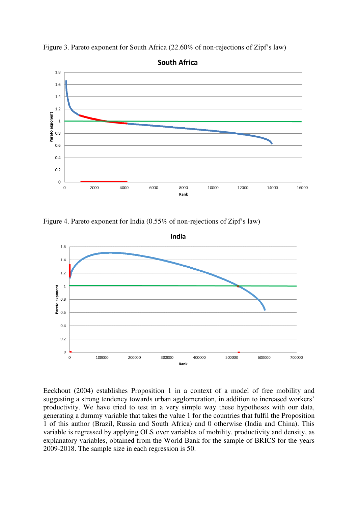

Figure 3. Pareto exponent for South Africa (22.60% of non-rejections of Zipf's law)

Figure 4. Pareto exponent for India (0.55% of non-rejections of Zipf's law)



Eeckhout (2004) establishes Proposition 1 in a context of a model of free mobility and suggesting a strong tendency towards urban agglomeration, in addition to increased workers' productivity. We have tried to test in a very simple way these hypotheses with our data, generating a dummy variable that takes the value 1 for the countries that fulfil the Proposition 1 of this author (Brazil, Russia and South Africa) and 0 otherwise (India and China). This variable is regressed by applying OLS over variables of mobility, productivity and density, as explanatory variables, obtained from the World Bank for the sample of BRICS for the years 2009-2018. The sample size in each regression is 50.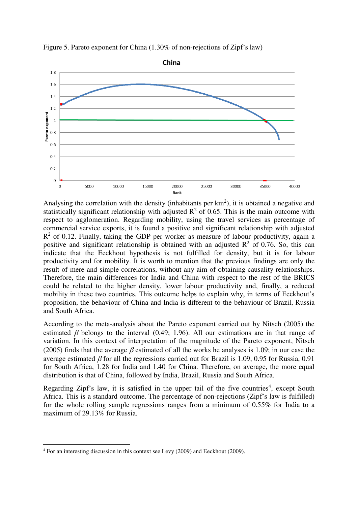

Figure 5. Pareto exponent for China (1.30% of non-rejections of Zipf's law)

Analysing the correlation with the density (inhabitants per  $km<sup>2</sup>$ ), it is obtained a negative and statistically significant relationship with adjusted  $R^2$  of 0.65. This is the main outcome with respect to agglomeration. Regarding mobility, using the travel services as percentage of commercial service exports, it is found a positive and significant relationship with adjusted  $R<sup>2</sup>$  of 0.12. Finally, taking the GDP per worker as measure of labour productivity, again a positive and significant relationship is obtained with an adjusted  $\mathbb{R}^2$  of 0.76. So, this can indicate that the Eeckhout hypothesis is not fulfilled for density, but it is for labour productivity and for mobility. It is worth to mention that the previous findings are only the result of mere and simple correlations, without any aim of obtaining causality relationships. Therefore, the main differences for India and China with respect to the rest of the BRICS could be related to the higher density, lower labour productivity and, finally, a reduced mobility in these two countries. This outcome helps to explain why, in terms of Eeckhout's proposition, the behaviour of China and India is different to the behaviour of Brazil, Russia and South Africa.

According to the meta-analysis about the Pareto exponent carried out by Nitsch (2005) the estimated  $\beta$  belongs to the interval (0.49; 1.96). All our estimations are in that range of variation. In this context of interpretation of the magnitude of the Pareto exponent, Nitsch (2005) finds that the average  $\beta$  estimated of all the works he analyses is 1.09; in our case the average estimated  $\beta$  for all the regressions carried out for Brazil is 1.09, 0.95 for Russia, 0.91 for South Africa, 1.28 for India and 1.40 for China. Therefore, on average, the more equal distribution is that of China, followed by India, Brazil, Russia and South Africa.

Regarding Zipf's law, it is satisfied in the upper tail of the five countries<sup>4</sup>, except South Africa. This is a standard outcome. The percentage of non-rejections (Zipf's law is fulfilled) for the whole rolling sample regressions ranges from a minimum of 0.55% for India to a maximum of 29.13% for Russia.

<sup>&</sup>lt;sup>4</sup> For an interesting discussion in this context see Levy (2009) and Eeckhout (2009).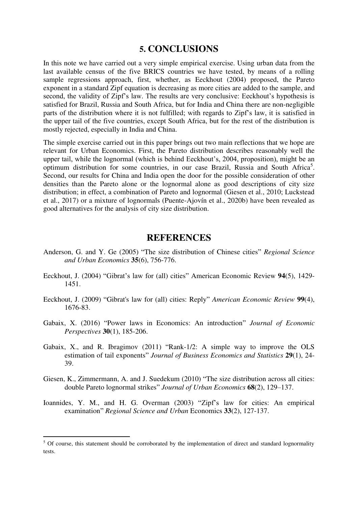#### **5. CONCLUSIONS**

In this note we have carried out a very simple empirical exercise. Using urban data from the last available census of the five BRICS countries we have tested, by means of a rolling sample regressions approach, first, whether, as Eeckhout (2004) proposed, the Pareto exponent in a standard Zipf equation is decreasing as more cities are added to the sample, and second, the validity of Zipf's law. The results are very conclusive: Eeckhout's hypothesis is satisfied for Brazil, Russia and South Africa, but for India and China there are non-negligible parts of the distribution where it is not fulfilled; with regards to Zipf's law, it is satisfied in the upper tail of the five countries, except South Africa, but for the rest of the distribution is mostly rejected, especially in India and China.

The simple exercise carried out in this paper brings out two main reflections that we hope are relevant for Urban Economics. First, the Pareto distribution describes reasonably well the upper tail, while the lognormal (which is behind Eeckhout's, 2004, proposition), might be an optimum distribution for some countries, in our case Brazil, Russia and South Africa<sup>5</sup>. Second, our results for China and India open the door for the possible consideration of other densities than the Pareto alone or the lognormal alone as good descriptions of city size distribution; in effect, a combination of Pareto and lognormal (Giesen et al., 2010; Luckstead et al., 2017) or a mixture of lognormals (Puente-Ajovín et al., 2020b) have been revealed as good alternatives for the analysis of city size distribution.

#### **REFERENCES**

- Anderson, G. and Y. Ge (2005) "The size distribution of Chinese cities" *Regional Science and Urban Economics* **35**(6), 756-776.
- Eeckhout, J. (2004) "Gibrat's law for (all) cities" American Economic Review **94**(5), 1429- 1451.
- Eeckhout, J. (2009) "Gibrat's law for (all) cities: Reply" *American Economic Review* **99**(4), 1676-83.
- Gabaix, X. (2016) "Power laws in Economics: An introduction" *Journal of Economic Perspectives* **30**(1), 185-206.
- Gabaix, X., and R. Ibragimov (2011) "Rank-1/2: A simple way to improve the OLS estimation of tail exponents" *Journal of Business Economics and Statistics* **29**(1), 24- 39.
- Giesen, K., Zimmermann, A. and J. Suedekum (2010) "The size distribution across all cities: double Pareto lognormal strikes" *Journal of Urban Economics* **68**(2), 129–137.
- Ioannides, Y. M., and H. G. Overman (2003) "Zipf's law for cities: An empirical examination" *Regional Science and Urban* Economics **33**(2), 127-137.

<sup>&</sup>lt;sup>5</sup> Of course, this statement should be corroborated by the implementation of direct and standard lognormality tests.